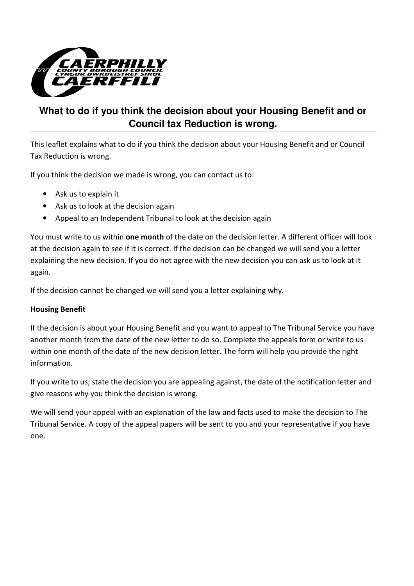

## **What to do if you think the decision about your Housing Benefit and or Council tax Reduction is wrong.**

This leaflet explains what to do if you think the decision about your Housing Benefit and or Council Tax Reduction is wrong.

If you think the decision we made is wrong, you can contact us to:

- Ask us to explain it
- Ask us to look at the decision again
- Appeal to an Independent Tribunal to look at the decision again

You must write to us within **one month** of the date on the decision letter. A different officer will look at the decision again to see if it is correct. If the decision can be changed we will send you a letter explaining the new decision. If you do not agree with the new decision you can ask us to look at it again.

If the decision cannot be changed we will send you a letter explaining why.

#### Housing Benefit

If the decision is about your Housing Benefit and you want to appeal to The Tribunal Service you have another month from the date of the new letter to do so. Complete the appeals form or write to us within one month of the date of the new decision letter. The form will help you provide the right information.

If you write to us; state the decision you are appealing against, the date of the notification letter and give reasons why you think the decision is wrong.

We will send your appeal with an explanation of the law and facts used to make the decision to The Tribunal Service. A copy of the appeal papers will be sent to you and your representative if you have one.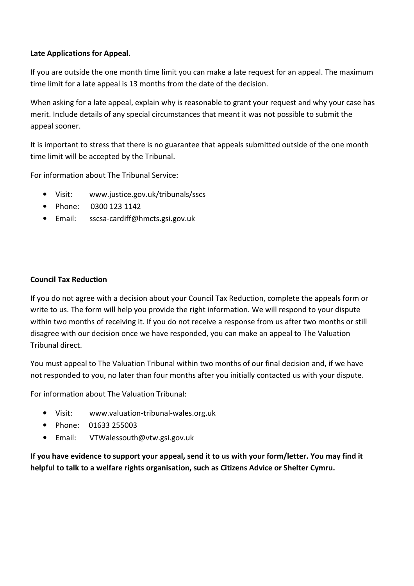#### Late Applications for Appeal.

If you are outside the one month time limit you can make a late request for an appeal. The maximum time limit for a late appeal is 13 months from the date of the decision.

When asking for a late appeal, explain why is reasonable to grant your request and why your case has merit. Include details of any special circumstances that meant it was not possible to submit the appeal sooner.

It is important to stress that there is no guarantee that appeals submitted outside of the one month time limit will be accepted by the Tribunal.

For information about The Tribunal Service:

- Visit: www.justice.gov.uk/tribunals/sscs
- Phone: 0300 123 1142
- Email: sscsa-cardiff@hmcts.gsi.gov.uk

#### Council Tax Reduction

If you do not agree with a decision about your Council Tax Reduction, complete the appeals form or write to us. The form will help you provide the right information. We will respond to your dispute within two months of receiving it. If you do not receive a response from us after two months or still disagree with our decision once we have responded, you can make an appeal to The Valuation Tribunal direct.

You must appeal to The Valuation Tribunal within two months of our final decision and, if we have not responded to you, no later than four months after you initially contacted us with your dispute.

For information about The Valuation Tribunal:

- Visit: www.valuation-tribunal-wales.org.uk
- Phone: 01633 255003
- Email: VTWalessouth@vtw.gsi.gov.uk

If you have evidence to support your appeal, send it to us with your form/letter. You may find it helpful to talk to a welfare rights organisation, such as Citizens Advice or Shelter Cymru.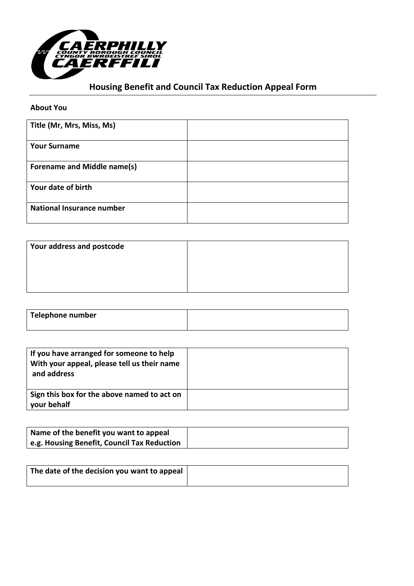

# Housing Benefit and Council Tax Reduction Appeal Form

#### About You

| Title (Mr, Mrs, Miss, Ms)        |  |
|----------------------------------|--|
| <b>Your Surname</b>              |  |
| Forename and Middle name(s)      |  |
| Your date of birth               |  |
| <b>National Insurance number</b> |  |

| Your address and postcode |  |
|---------------------------|--|
|                           |  |
|                           |  |
|                           |  |

| <b>Telephone number</b> |  |
|-------------------------|--|
|                         |  |

| If you have arranged for someone to help<br>With your appeal, please tell us their name<br>and address |  |
|--------------------------------------------------------------------------------------------------------|--|
| Sign this box for the above named to act on<br>your behalf                                             |  |

| Name of the benefit you want to appeal      |
|---------------------------------------------|
| e.g. Housing Benefit, Council Tax Reduction |

| The date of the decision you want to appeal |  |
|---------------------------------------------|--|
|                                             |  |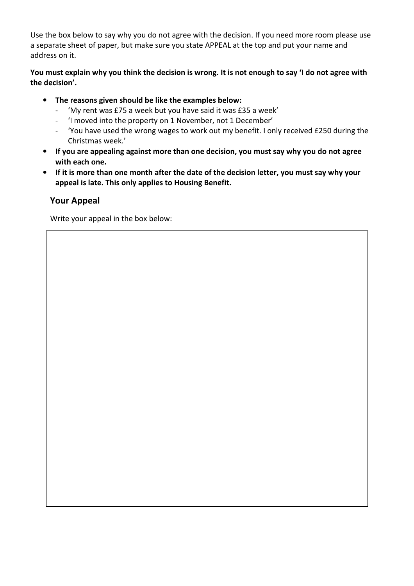Use the box below to say why you do not agree with the decision. If you need more room please use a separate sheet of paper, but make sure you state APPEAL at the top and put your name and address on it.

#### You must explain why you think the decision is wrong. It is not enough to say 'I do not agree with the decision'.

- The reasons given should be like the examples below:
	- 'My rent was £75 a week but you have said it was £35 a week'
	- 'I moved into the property on 1 November, not 1 December'
	- 'You have used the wrong wages to work out my benefit. I only received £250 during the Christmas week.'
- If you are appealing against more than one decision, you must say why you do not agree with each one.
- If it is more than one month after the date of the decision letter, you must say why your appeal is late. This only applies to Housing Benefit.

## Your Appeal

Write your appeal in the box below: